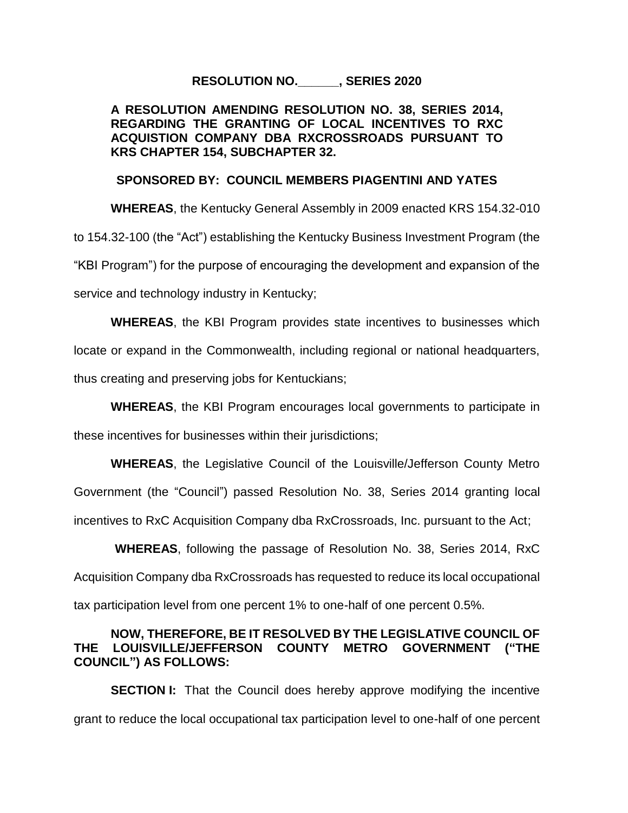### **RESOLUTION NO.\_\_\_\_\_\_, SERIES 2020**

## **A RESOLUTION AMENDING RESOLUTION NO. 38, SERIES 2014, REGARDING THE GRANTING OF LOCAL INCENTIVES TO RXC ACQUISTION COMPANY DBA RXCROSSROADS PURSUANT TO KRS CHAPTER 154, SUBCHAPTER 32.**

#### **SPONSORED BY: COUNCIL MEMBERS PIAGENTINI AND YATES**

**WHEREAS**, the Kentucky General Assembly in 2009 enacted KRS 154.32-010 to 154.32-100 (the "Act") establishing the Kentucky Business Investment Program (the "KBI Program") for the purpose of encouraging the development and expansion of the service and technology industry in Kentucky;

**WHEREAS**, the KBI Program provides state incentives to businesses which

locate or expand in the Commonwealth, including regional or national headquarters,

thus creating and preserving jobs for Kentuckians;

**WHEREAS**, the KBI Program encourages local governments to participate in

these incentives for businesses within their jurisdictions;

**WHEREAS**, the Legislative Council of the Louisville/Jefferson County Metro Government (the "Council") passed Resolution No. 38, Series 2014 granting local incentives to RxC Acquisition Company dba RxCrossroads, Inc. pursuant to the Act;

 **WHEREAS**, following the passage of Resolution No. 38, Series 2014, RxC Acquisition Company dba RxCrossroads has requested to reduce its local occupational tax participation level from one percent 1% to one-half of one percent 0.5%.

## **NOW, THEREFORE, BE IT RESOLVED BY THE LEGISLATIVE COUNCIL OF THE LOUISVILLE/JEFFERSON COUNTY METRO GOVERNMENT ("THE COUNCIL") AS FOLLOWS:**

**SECTION I:** That the Council does hereby approve modifying the incentive grant to reduce the local occupational tax participation level to one-half of one percent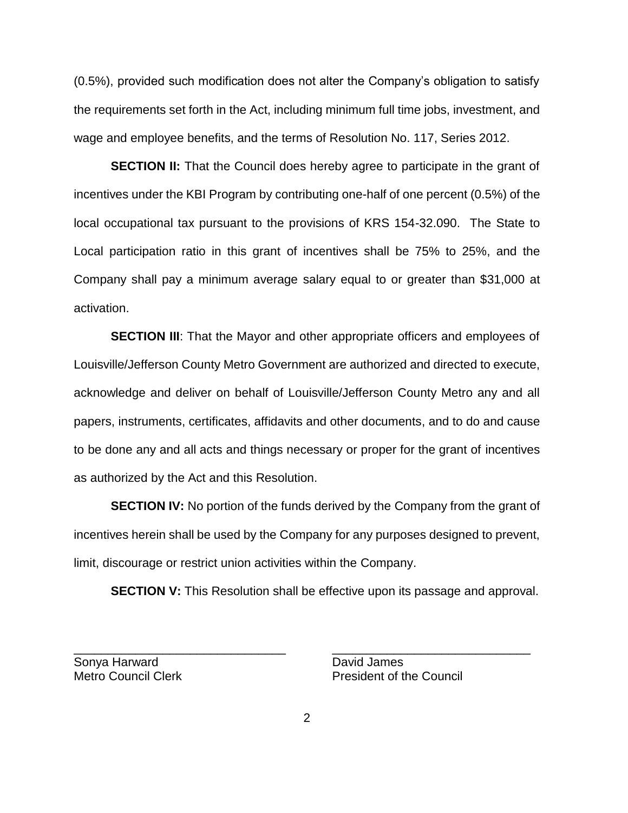(0.5%), provided such modification does not alter the Company's obligation to satisfy the requirements set forth in the Act, including minimum full time jobs, investment, and wage and employee benefits, and the terms of Resolution No. 117, Series 2012.

**SECTION II:** That the Council does hereby agree to participate in the grant of incentives under the KBI Program by contributing one-half of one percent (0.5%) of the local occupational tax pursuant to the provisions of KRS 154-32.090. The State to Local participation ratio in this grant of incentives shall be 75% to 25%, and the Company shall pay a minimum average salary equal to or greater than \$31,000 at activation.

**SECTION III:** That the Mayor and other appropriate officers and employees of Louisville/Jefferson County Metro Government are authorized and directed to execute, acknowledge and deliver on behalf of Louisville/Jefferson County Metro any and all papers, instruments, certificates, affidavits and other documents, and to do and cause to be done any and all acts and things necessary or proper for the grant of incentives as authorized by the Act and this Resolution.

**SECTION IV:** No portion of the funds derived by the Company from the grant of incentives herein shall be used by the Company for any purposes designed to prevent, limit, discourage or restrict union activities within the Company.

**SECTION V:** This Resolution shall be effective upon its passage and approval.

Sonya Harward **David James** 

Metro Council Clerk **President of the Council** 

\_\_\_\_\_\_\_\_\_\_\_\_\_\_\_\_\_\_\_\_\_\_\_\_\_\_\_\_\_\_\_ \_\_\_\_\_\_\_\_\_\_\_\_\_\_\_\_\_\_\_\_\_\_\_\_\_\_\_\_\_